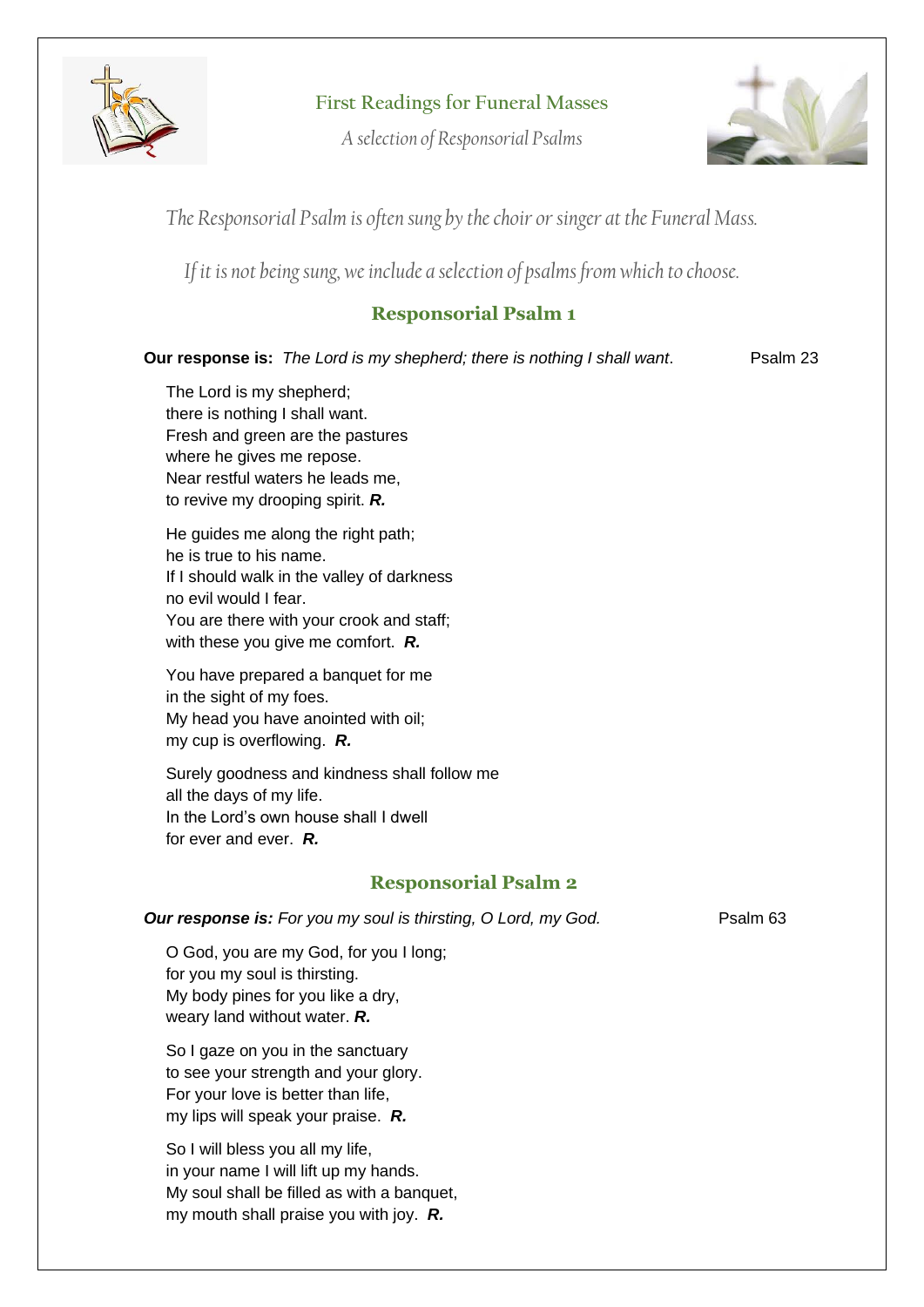

**First Readings for Funeral Masses**

*A selection of Responsorial Psalms*



*The Responsorial Psalm is often sung by the choir or singer at the Funeral Mass.*

*If it is not being sung, we include a selection of psalms from which to choose.*

## **Responsorial Psalm 1**

**Our response is:** *The Lord is my shepherd; there is nothing I shall want.* Psalm 23

The Lord is my shepherd; there is nothing I shall want. Fresh and green are the pastures where he gives me repose. Near restful waters he leads me, to revive my drooping spirit. *R.*

He guides me along the right path; he is true to his name. If I should walk in the valley of darkness no evil would I fear. You are there with your crook and staff; with these you give me comfort. *R.*

You have prepared a banquet for me in the sight of my foes. My head you have anointed with oil; my cup is overflowing. *R.*

Surely goodness and kindness shall follow me all the days of my life. In the Lord's own house shall I dwell for ever and ever. *R.*

## **Responsorial Psalm 2**

*Our response is: For you my soul is thirsting, O Lord, my God.* **Psalm 63** 

O God, you are my God, for you I long; for you my soul is thirsting. My body pines for you like a dry, weary land without water. *R.*

So I gaze on you in the sanctuary to see your strength and your glory. For your love is better than life, my lips will speak your praise. *R.*

So I will bless you all my life, in your name I will lift up my hands. My soul shall be filled as with a banquet, my mouth shall praise you with joy. *R.*